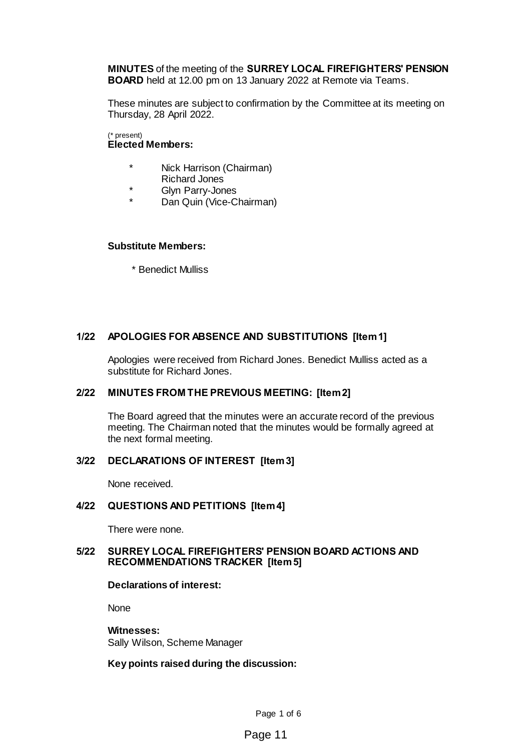**MINUTES** of the meeting of the **SURREY LOCAL FIREFIGHTERS' PENSION BOARD** held at 12.00 pm on 13 January 2022 at Remote via Teams.

These minutes are subject to confirmation by the Committee at its meeting on Thursday, 28 April 2022.

(\* present) **Elected Members:**

- \* Nick Harrison (Chairman) Richard Jones
- \* Glyn Parry-Jones
- Dan Quin (Vice-Chairman)

#### **Substitute Members:**

\* Benedict Mulliss

# **1/22 APOLOGIES FOR ABSENCE AND SUBSTITUTIONS [Item 1]**

Apologies were received from Richard Jones. Benedict Mulliss acted as a substitute for Richard Jones.

# **2/22 MINUTES FROM THE PREVIOUS MEETING: [Item 2]**

The Board agreed that the minutes were an accurate record of the previous meeting. The Chairman noted that the minutes would be formally agreed at the next formal meeting.

# **3/22 DECLARATIONS OF INTEREST [Item 3]**

None received.

#### **4/22 QUESTIONS AND PETITIONS [Item 4]**

There were none.

### **5/22 SURREY LOCAL FIREFIGHTERS' PENSION BOARD ACTIONS AND RECOMMENDATIONS TRACKER [Item 5]**

#### **Declarations of interest:**

None

# **Witnesses:**

Sally Wilson, Scheme Manager

#### **Key points raised during the discussion:**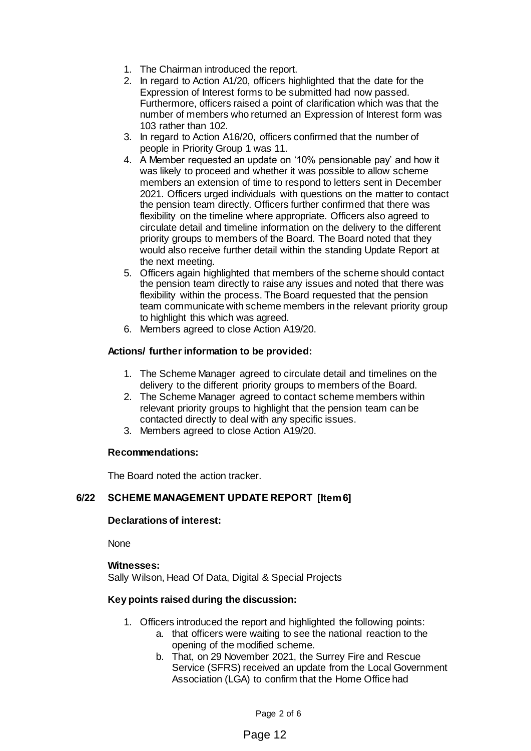- 1. The Chairman introduced the report.
- 2. In regard to Action A1/20, officers highlighted that the date for the Expression of Interest forms to be submitted had now passed. Furthermore, officers raised a point of clarification which was that the number of members who returned an Expression of Interest form was 103 rather than 102.
- 3. In regard to Action A16/20, officers confirmed that the number of people in Priority Group 1 was 11.
- 4. A Member requested an update on '10% pensionable pay' and how it was likely to proceed and whether it was possible to allow scheme members an extension of time to respond to letters sent in December 2021. Officers urged individuals with questions on the matter to contact the pension team directly. Officers further confirmed that there was flexibility on the timeline where appropriate. Officers also agreed to circulate detail and timeline information on the delivery to the different priority groups to members of the Board. The Board noted that they would also receive further detail within the standing Update Report at the next meeting.
- 5. Officers again highlighted that members of the scheme should contact the pension team directly to raise any issues and noted that there was flexibility within the process. The Board requested that the pension team communicate with scheme members in the relevant priority group to highlight this which was agreed.
- 6. Members agreed to close Action A19/20.

# **Actions/ further information to be provided:**

- 1. The Scheme Manager agreed to circulate detail and timelines on the delivery to the different priority groups to members of the Board.
- 2. The Scheme Manager agreed to contact scheme members within relevant priority groups to highlight that the pension team can be contacted directly to deal with any specific issues.
- 3. Members agreed to close Action A19/20.

# **Recommendations:**

The Board noted the action tracker.

# **6/22 SCHEME MANAGEMENT UPDATE REPORT [Item 6]**

# **Declarations of interest:**

None

# **Witnesses:**

Sally Wilson, Head Of Data, Digital & Special Projects

# **Key points raised during the discussion:**

- 1. Officers introduced the report and highlighted the following points:
	- a. that officers were waiting to see the national reaction to the opening of the modified scheme.
		- b. That, on 29 November 2021, the Surrey Fire and Rescue Service (SFRS) received an update from the Local Government Association (LGA) to confirm that the Home Office had

# Page 12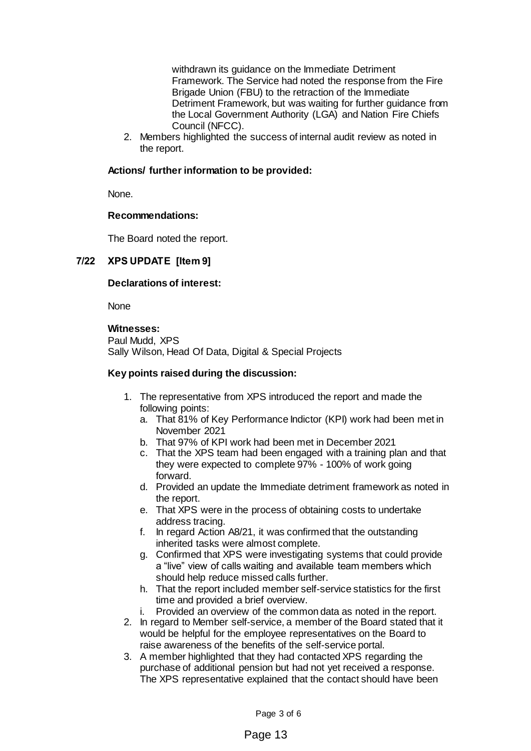withdrawn its guidance on the Immediate Detriment Framework. The Service had noted the response from the Fire Brigade Union (FBU) to the retraction of the Immediate Detriment Framework, but was waiting for further guidance from the Local Government Authority (LGA) and Nation Fire Chiefs Council (NFCC).

2. Members highlighted the success of internal audit review as noted in the report.

# **Actions/ further information to be provided:**

None.

# **Recommendations:**

The Board noted the report.

# **7/22 XPS UPDATE [Item 9]**

#### **Declarations of interest:**

**None** 

# **Witnesses:**

Paul Mudd, XPS Sally Wilson, Head Of Data, Digital & Special Projects

# **Key points raised during the discussion:**

- 1. The representative from XPS introduced the report and made the following points:
	- a. That 81% of Key Performance Indictor (KPI) work had been met in November 2021
	- b. That 97% of KPI work had been met in December 2021
	- c. That the XPS team had been engaged with a training plan and that they were expected to complete 97% - 100% of work going forward.
	- d. Provided an update the Immediate detriment framework as noted in the report.
	- e. That XPS were in the process of obtaining costs to undertake address tracing.
	- f. In regard Action A8/21, it was confirmed that the outstanding inherited tasks were almost complete.
	- g. Confirmed that XPS were investigating systems that could provide a "live" view of calls waiting and available team members which should help reduce missed calls further.
	- h. That the report included member self-service statistics for the first time and provided a brief overview.
	- i. Provided an overview of the common data as noted in the report.
- 2. In regard to Member self-service, a member of the Board stated that it would be helpful for the employee representatives on the Board to raise awareness of the benefits of the self-service portal.
- 3. A member highlighted that they had contacted XPS regarding the purchase of additional pension but had not yet received a response. The XPS representative explained that the contact should have been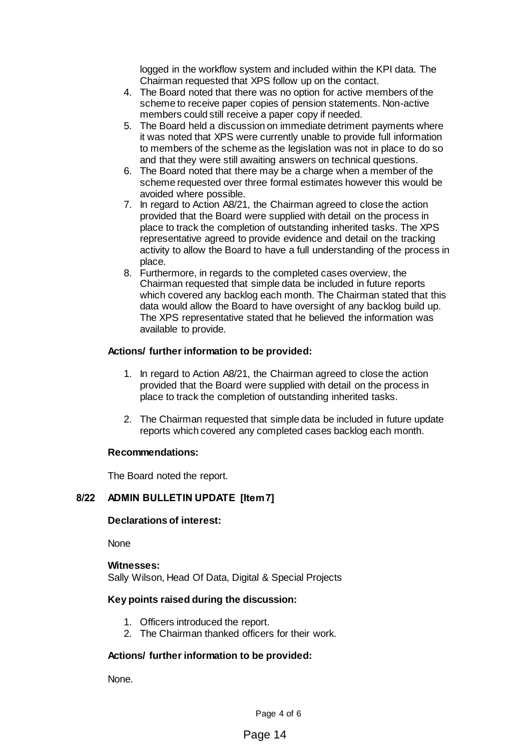logged in the workflow system and included within the KPI data. The Chairman requested that XPS follow up on the contact.

- 4. The Board noted that there was no option for active members of the scheme to receive paper copies of pension statements. Non-active members could still receive a paper copy if needed.
- 5. The Board held a discussion on immediate detriment payments where it was noted that XPS were currently unable to provide full information to members of the scheme as the legislation was not in place to do so and that they were still awaiting answers on technical questions.
- 6. The Board noted that there may be a charge when a member of the scheme requested over three formal estimates however this would be avoided where possible.
- 7. In regard to Action A8/21, the Chairman agreed to close the action provided that the Board were supplied with detail on the process in place to track the completion of outstanding inherited tasks. The XPS representative agreed to provide evidence and detail on the tracking activity to allow the Board to have a full understanding of the process in place.
- 8. Furthermore, in regards to the completed cases overview, the Chairman requested that simple data be included in future reports which covered any backlog each month. The Chairman stated that this data would allow the Board to have oversight of any backlog build up. The XPS representative stated that he believed the information was available to provide.

# **Actions/ further information to be provided:**

- 1. In regard to Action A8/21, the Chairman agreed to close the action provided that the Board were supplied with detail on the process in place to track the completion of outstanding inherited tasks.
- 2. The Chairman requested that simple data be included in future update reports which covered any completed cases backlog each month.

# **Recommendations:**

The Board noted the report.

# **8/22 ADMIN BULLETIN UPDATE [Item 7]**

# **Declarations of interest:**

None

#### **Witnesses:**

Sally Wilson, Head Of Data, Digital & Special Projects

# **Key points raised during the discussion:**

- 1. Officers introduced the report.
- 2. The Chairman thanked officers for their work.

# **Actions/ further information to be provided:**

None.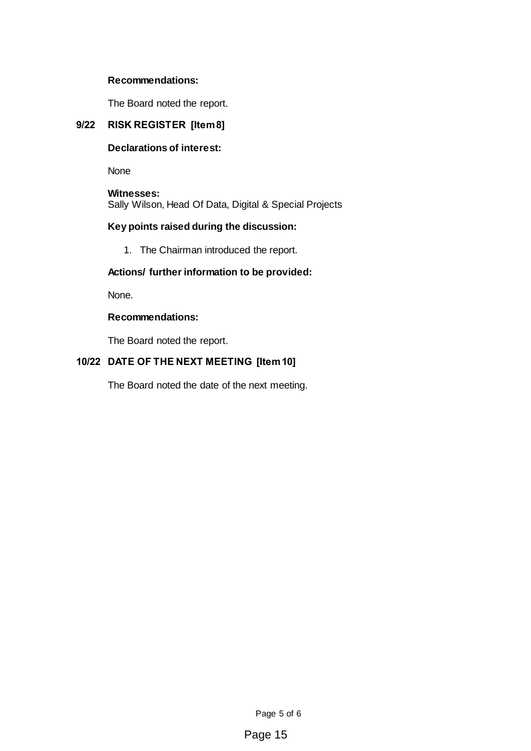# **Recommendations:**

The Board noted the report.

# **9/22 RISK REGISTER [Item 8]**

# **Declarations of interest:**

None

**Witnesses:** Sally Wilson, Head Of Data, Digital & Special Projects

# **Key points raised during the discussion:**

1. The Chairman introduced the report.

# **Actions/ further information to be provided:**

None.

# **Recommendations:**

The Board noted the report.

# **10/22 DATE OF THE NEXT MEETING [Item 10]**

The Board noted the date of the next meeting.

Page 5 of 6

Page 15